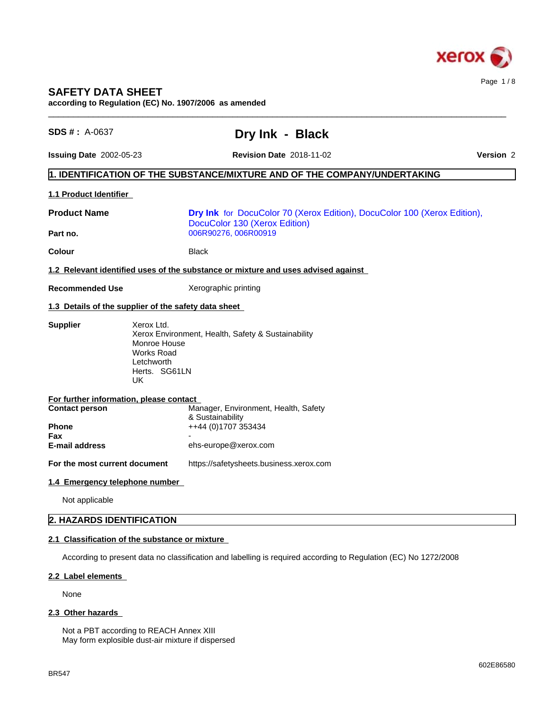

# **SAFETY DATA SHEET**

**according to Regulation (EC) No. 1907/2006 as amended**

| <b>SDS #: A-0637</b>                    | Dry Ink - Black                                                                                                                      |           |
|-----------------------------------------|--------------------------------------------------------------------------------------------------------------------------------------|-----------|
| <b>Issuing Date 2002-05-23</b>          | <b>Revision Date 2018-11-02</b>                                                                                                      | Version 2 |
|                                         | $\vert$ 1. IDENTIFICATION OF THE SUBSTANCE/MIXTURE AND OF THE COMPANY/UNDERTAKING                                                    |           |
| <b>1.1 Product Identifier</b>           |                                                                                                                                      |           |
| <b>Product Name</b>                     | Dry Ink for DocuColor 70 (Xerox Edition), DocuColor 100 (Xerox Edition),<br>DocuColor 130 (Xerox Edition)                            |           |
| Part no.                                | 006R90276, 006R00919                                                                                                                 |           |
| <b>Colour</b>                           | <b>Black</b>                                                                                                                         |           |
|                                         | 1.2 Relevant identified uses of the substance or mixture and uses advised against                                                    |           |
| <b>Recommended Use</b>                  | Xerographic printing                                                                                                                 |           |
|                                         | 1.3 Details of the supplier of the safety data sheet                                                                                 |           |
| <b>Supplier</b><br>UK                   | Xerox Ltd.<br>Xerox Environment, Health, Safety & Sustainability<br>Monroe House<br><b>Works Road</b><br>Letchworth<br>Herts. SG61LN |           |
| For further information, please contact |                                                                                                                                      |           |
| <b>Contact person</b>                   | Manager, Environment, Health, Safety<br>& Sustainability                                                                             |           |
| Phone<br>Fax                            | ++44 (0)1707 353434                                                                                                                  |           |
| <b>E-mail address</b>                   | ehs-europe@xerox.com                                                                                                                 |           |
| For the most current document           | https://safetysheets.business.xerox.com                                                                                              |           |
| 1.4 Emergency telephone number          |                                                                                                                                      |           |
| Not applicable                          |                                                                                                                                      |           |
| 2. HAZARDS IDENTIFICATION               |                                                                                                                                      |           |
|                                         |                                                                                                                                      |           |

### **2.2 Label elements**

None

### 2.3 Other hazards

Not a PBT according to REACH Annex XIII May form explosible dust-air mixture if dispersed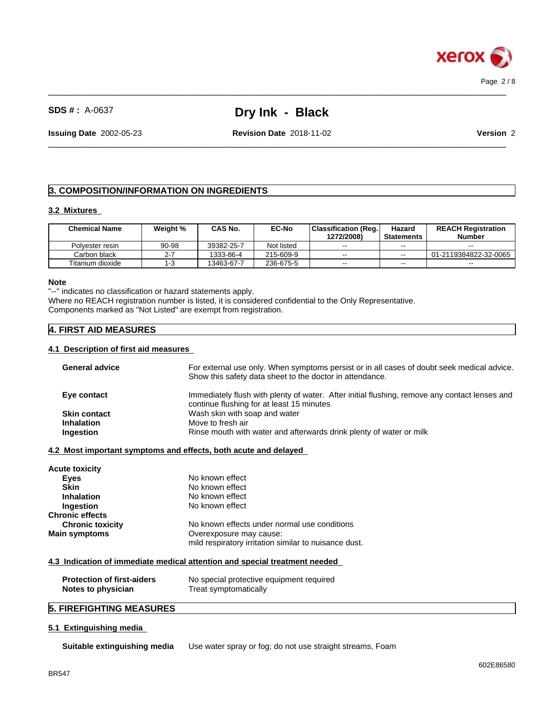

 $\_$  ,  $\_$  ,  $\_$  ,  $\_$  ,  $\_$  ,  $\_$  ,  $\_$  ,  $\_$  ,  $\_$  ,  $\_$  ,  $\_$  ,  $\_$  ,  $\_$  ,  $\_$  ,  $\_$  ,  $\_$  ,  $\_$  ,  $\_$  ,  $\_$  ,  $\_$  ,  $\_$  ,  $\_$  ,  $\_$  ,  $\_$  ,  $\_$  ,  $\_$  ,  $\_$  ,  $\_$  ,  $\_$  ,  $\_$  ,  $\_$  ,  $\_$  ,  $\_$  ,  $\_$  ,  $\_$  ,  $\_$  ,  $\_$  ,

 $\_$  ,  $\_$  ,  $\_$  ,  $\_$  ,  $\_$  ,  $\_$  ,  $\_$  ,  $\_$  ,  $\_$  ,  $\_$  ,  $\_$  ,  $\_$  ,  $\_$  ,  $\_$  ,  $\_$  ,  $\_$  ,  $\_$  ,  $\_$  ,  $\_$  ,  $\_$  ,  $\_$  ,  $\_$  ,  $\_$  ,  $\_$  ,  $\_$  ,  $\_$  ,  $\_$  ,  $\_$  ,  $\_$  ,  $\_$  ,  $\_$  ,  $\_$  ,  $\_$  ,  $\_$  ,  $\_$  ,  $\_$  ,  $\_$  ,

**Issuing Date** 2002-05-23 **Revision Date** 2018-11-02 **Version** 2

# **3. COMPOSITION/INFORMATION ON INGREDIENTS**

#### **3.2 Mixtures**

| <b>Chemical Name</b> | Weight % | CAS No.    | <b>EC-No</b> | Classification (Reg.<br>1272/2008) | Hazard<br><b>Statements</b> | <b>REACH Registration</b><br><b>Number</b> |
|----------------------|----------|------------|--------------|------------------------------------|-----------------------------|--------------------------------------------|
| Polvester resin      | 90-98    | 39382-25-7 | Not listed   | $- -$                              | $- -$                       | $\sim$                                     |
| Carbon black         |          | 1333-86-4  | 215-609-9    | $- -$                              | $- -$                       | 01-2119384822-32-0065                      |
| Titanium dioxide     |          | 13463-67-7 | 236-675-5    | $- -$                              | $- -$                       | $\sim$ $\sim$                              |

#### **Note**

"--" indicates no classification or hazard statements apply. Where no REACH registration number is listed, it is considered confidential to the Only Representative. Components marked as "Not Listed" are exempt from registration.

# **4. FIRST AID MEASURES**

#### **4.1 Description of first aid measures**

| <b>General advice</b>                                   | For external use only. When symptoms persist or in all cases of doubt seek medical advice.<br>Show this safety data sheet to the doctor in attendance. |
|---------------------------------------------------------|--------------------------------------------------------------------------------------------------------------------------------------------------------|
| Eye contact                                             | Immediately flush with plenty of water. After initial flushing, remove any contact lenses and<br>continue flushing for at least 15 minutes             |
| <b>Skin contact</b>                                     | Wash skin with soap and water                                                                                                                          |
| <b>Inhalation</b>                                       | Move to fresh air                                                                                                                                      |
| Ingestion                                               | Rinse mouth with water and afterwards drink plenty of water or milk                                                                                    |
| Acute toxicity                                          | 4.2 Most important symptoms and effects, both acute and delayed                                                                                        |
| <b>Eyes</b>                                             | No known effect                                                                                                                                        |
| <b>Skin</b>                                             | No known effect                                                                                                                                        |
| <b>Inhalation</b>                                       | No known effect                                                                                                                                        |
| Ingestion                                               | No known effect                                                                                                                                        |
| Chronic effects                                         |                                                                                                                                                        |
| <b>Chronic toxicity</b>                                 | No known effects under normal use conditions                                                                                                           |
| Main symptoms                                           | Overexposure may cause:                                                                                                                                |
|                                                         | mild respiratory irritation similar to nuisance dust.                                                                                                  |
|                                                         | 4.3 Indication of immediate medical attention and special treatment needed                                                                             |
| <b>Protection of first-aiders</b><br>Notes to physician | No special protective equipment required<br>Treat symptomatically                                                                                      |
|                                                         |                                                                                                                                                        |

# **5. FIREFIGHTING MEASURES**

#### **5.1 Extinguishing media**

**Suitable extinguishing media** Use water spray or fog; do not use straight streams, Foam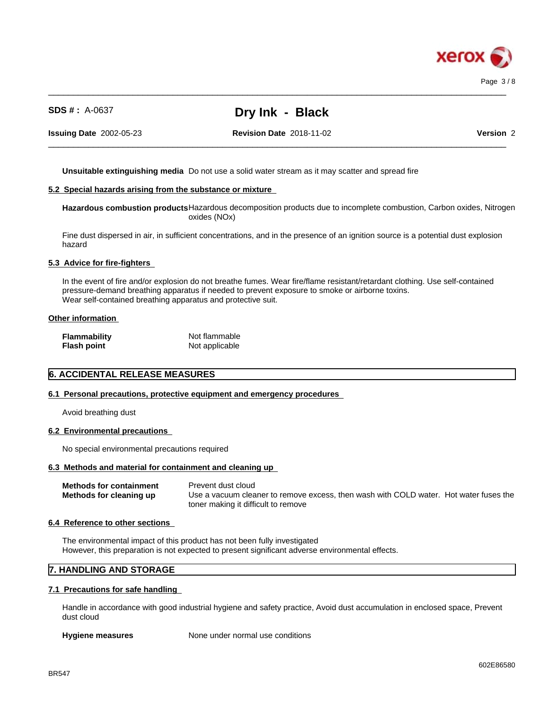

 $\_$  ,  $\_$  ,  $\_$  ,  $\_$  ,  $\_$  ,  $\_$  ,  $\_$  ,  $\_$  ,  $\_$  ,  $\_$  ,  $\_$  ,  $\_$  ,  $\_$  ,  $\_$  ,  $\_$  ,  $\_$  ,  $\_$  ,  $\_$  ,  $\_$  ,  $\_$  ,  $\_$  ,  $\_$  ,  $\_$  ,  $\_$  ,  $\_$  ,  $\_$  ,  $\_$  ,  $\_$  ,  $\_$  ,  $\_$  ,  $\_$  ,  $\_$  ,  $\_$  ,  $\_$  ,  $\_$  ,  $\_$  ,  $\_$  ,

**Issuing Date** 2002-05-23 **Revision Date** 2018-11-02 **Version** 2

 $\_$  ,  $\_$  ,  $\_$  ,  $\_$  ,  $\_$  ,  $\_$  ,  $\_$  ,  $\_$  ,  $\_$  ,  $\_$  ,  $\_$  ,  $\_$  ,  $\_$  ,  $\_$  ,  $\_$  ,  $\_$  ,  $\_$  ,  $\_$  ,  $\_$  ,  $\_$  ,  $\_$  ,  $\_$  ,  $\_$  ,  $\_$  ,  $\_$  ,  $\_$  ,  $\_$  ,  $\_$  ,  $\_$  ,  $\_$  ,  $\_$  ,  $\_$  ,  $\_$  ,  $\_$  ,  $\_$  ,  $\_$  ,  $\_$  ,

**Unsuitable extinguishing media** Do not use a solid water stream as it may scatterand spread fire

#### **5.2 Special hazards arising from the substance or mixture**

**Hazardous combustion products**Hazardous decomposition products due to incomplete combustion, Carbon oxides, Nitrogen oxides (NOx)

Fine dust dispersed in air, in sufficient concentrations, and in the presence of an ignition source is a potential dust explosion hazard

#### **5.3 Advice for fire-fighters**

In the event of fire and/or explosion do not breathe fumes. Wear fire/flame resistant/retardant clothing. Use self-contained pressure-demand breathing apparatus if needed to prevent exposure to smoke or airborne toxins. Wear self-contained breathing apparatus and protective suit.

#### **Other information**

| <b>Flammability</b> | Not flammable  |
|---------------------|----------------|
| <b>Flash point</b>  | Not applicable |

## **6. ACCIDENTAL RELEASE MEASURES**

#### **6.1 Personal precautions, protective equipment and emergency procedures**

Avoid breathing dust

#### **6.2 Environmental precautions**

No special environmental precautions required

#### **6.3 Methods and material for containment and cleaning up**

**Methods for containment** Prevent dust cloud **Methods for cleaning up** Use a vacuum cleaner to remove excess, then wash with COLD water. Hot water fuses the toner making it difficult to remove

#### **6.4 Reference to other sections**

The environmental impact of this product has not been fully investigated However, this preparation is not expected to present significant adverse environmental effects.

### **7. HANDLING AND STORAGE**

#### **7.1 Precautions for safe handling**

Handle in accordance with good industrial hygiene and safety practice, Avoid dust accumulation in enclosed space, Prevent dust cloud

**Hygiene measures** None under normal use conditions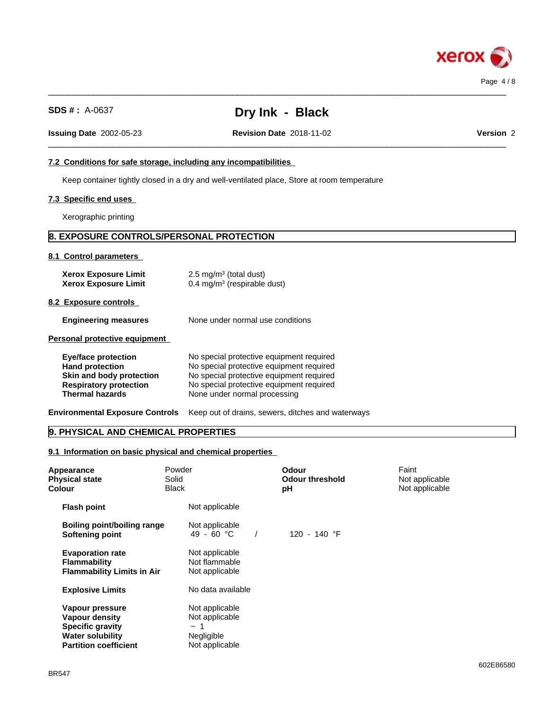

| <b>SDS #</b> : $A-0637$                                                                                                                     | Dry Ink - Black                                                                                                                                                                                              |           |
|---------------------------------------------------------------------------------------------------------------------------------------------|--------------------------------------------------------------------------------------------------------------------------------------------------------------------------------------------------------------|-----------|
| <b>Issuing Date 2002-05-23</b>                                                                                                              | <b>Revision Date 2018-11-02</b>                                                                                                                                                                              | Version 2 |
| 7.2 Conditions for safe storage, including any incompatibilities                                                                            |                                                                                                                                                                                                              |           |
|                                                                                                                                             | Keep container tightly closed in a dry and well-ventilated place, Store at room temperature                                                                                                                  |           |
| 7.3 Specific end uses                                                                                                                       |                                                                                                                                                                                                              |           |
| Xerographic printing                                                                                                                        |                                                                                                                                                                                                              |           |
| 8. EXPOSURE CONTROLS/PERSONAL PROTECTION                                                                                                    |                                                                                                                                                                                                              |           |
| 8.1 Control parameters                                                                                                                      |                                                                                                                                                                                                              |           |
| <b>Xerox Exposure Limit</b><br><b>Xerox Exposure Limit</b>                                                                                  | $2.5 \text{ mg/m}^3$ (total dust)<br>$0.4 \text{ mg/m}^3$ (respirable dust)                                                                                                                                  |           |
| 8.2 Exposure controls                                                                                                                       |                                                                                                                                                                                                              |           |
| <b>Engineering measures</b>                                                                                                                 | None under normal use conditions                                                                                                                                                                             |           |
| Personal protective equipment                                                                                                               |                                                                                                                                                                                                              |           |
| <b>Eye/face protection</b><br><b>Hand protection</b><br>Skin and body protection<br><b>Respiratory protection</b><br><b>Thermal hazards</b> | No special protective equipment required<br>No special protective equipment required<br>No special protective equipment required<br>No special protective equipment required<br>None under normal processing |           |
| <b>Environmental Exposure Controls</b>                                                                                                      | Keep out of drains, sewers, ditches and waterways                                                                                                                                                            |           |

 $\_$  ,  $\_$  ,  $\_$  ,  $\_$  ,  $\_$  ,  $\_$  ,  $\_$  ,  $\_$  ,  $\_$  ,  $\_$  ,  $\_$  ,  $\_$  ,  $\_$  ,  $\_$  ,  $\_$  ,  $\_$  ,  $\_$  ,  $\_$  ,  $\_$  ,  $\_$  ,  $\_$  ,  $\_$  ,  $\_$  ,  $\_$  ,  $\_$  ,  $\_$  ,  $\_$  ,  $\_$  ,  $\_$  ,  $\_$  ,  $\_$  ,  $\_$  ,  $\_$  ,  $\_$  ,  $\_$  ,  $\_$  ,  $\_$  ,

# **9. PHYSICAL AND CHEMICAL PROPERTIES**

# **9.1 Information on basic physical and chemical properties**

| Appearance<br><b>Physical state</b><br><b>Colour</b>                                                                           | Powder<br>Solid<br><b>Black</b>                                              | <b>Odour</b><br><b>Odour threshold</b><br>рH | Faint<br>Not applicable<br>Not applicable |
|--------------------------------------------------------------------------------------------------------------------------------|------------------------------------------------------------------------------|----------------------------------------------|-------------------------------------------|
| <b>Flash point</b>                                                                                                             | Not applicable                                                               |                                              |                                           |
| Boiling point/boiling range<br><b>Softening point</b>                                                                          | Not applicable<br>49 - 60 °C                                                 | 120 - 140 °F                                 |                                           |
| <b>Evaporation rate</b><br><b>Flammability</b><br><b>Flammability Limits in Air</b>                                            | Not applicable<br>Not flammable<br>Not applicable                            |                                              |                                           |
| <b>Explosive Limits</b>                                                                                                        | No data available                                                            |                                              |                                           |
| Vapour pressure<br><b>Vapour density</b><br><b>Specific gravity</b><br><b>Water solubility</b><br><b>Partition coefficient</b> | Not applicable<br>Not applicable<br>$\sim$ 1<br>Negligible<br>Not applicable |                                              |                                           |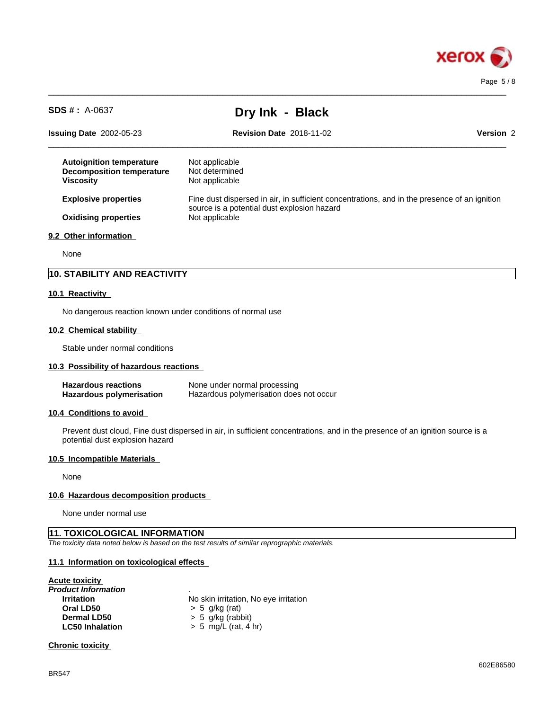

| <b>SDS #</b> : $A-0637$                                                                 | Dry Ink - Black                                                                              |           |
|-----------------------------------------------------------------------------------------|----------------------------------------------------------------------------------------------|-----------|
| <b>Issuing Date 2002-05-23</b>                                                          | <b>Revision Date 2018-11-02</b>                                                              | Version 2 |
| <b>Autoignition temperature</b><br><b>Decomposition temperature</b><br><b>Viscosity</b> | Not applicable<br>Not determined<br>Not applicable                                           |           |
| <b>Explosive properties</b>                                                             | Fine dust dispersed in air, in sufficient concentrations, and in the presence of an ignition |           |
| <b>Oxidising properties</b>                                                             | source is a potential dust explosion hazard<br>Not applicable                                |           |
| 9.2 Other information                                                                   |                                                                                              |           |
| None                                                                                    |                                                                                              |           |
| 10. STABILITY AND REACTIVITY                                                            |                                                                                              |           |

 $\_$  ,  $\_$  ,  $\_$  ,  $\_$  ,  $\_$  ,  $\_$  ,  $\_$  ,  $\_$  ,  $\_$  ,  $\_$  ,  $\_$  ,  $\_$  ,  $\_$  ,  $\_$  ,  $\_$  ,  $\_$  ,  $\_$  ,  $\_$  ,  $\_$  ,  $\_$  ,  $\_$  ,  $\_$  ,  $\_$  ,  $\_$  ,  $\_$  ,  $\_$  ,  $\_$  ,  $\_$  ,  $\_$  ,  $\_$  ,  $\_$  ,  $\_$  ,  $\_$  ,  $\_$  ,  $\_$  ,  $\_$  ,  $\_$  ,

# **10.1 Reactivity**

No dangerous reaction known under conditions of normal use

### **10.2 Chemical stability**

Stable under normal conditions

#### **10.3 Possibility of hazardous reactions**

| <b>Hazardous reactions</b> | None under normal processing            |
|----------------------------|-----------------------------------------|
| Hazardous polymerisation   | Hazardous polymerisation does not occur |

#### **10.4 Conditions to avoid**

Prevent dust cloud, Fine dust dispersed in air, in sufficient concentrations, and in the presence of an ignition source is a potential dust explosion hazard

#### **10.5 Incompatible Materials**

None

#### **10.6 Hazardous decomposition products**

None under normal use

### **11. TOXICOLOGICAL INFORMATION**

*The toxicity data noted below is based on the test results of similar reprographic materials.*

#### **11.1 Information on toxicologicaleffects**

#### **Acute toxicity**

| Product Information    |                                       |
|------------------------|---------------------------------------|
| <b>Irritation</b>      | No skin irritation, No eye irritation |
| Oral LD50              | $> 5$ g/kg (rat)                      |
| Dermal LD50            | $> 5$ g/kg (rabbit)                   |
| <b>LC50 Inhalation</b> | $> 5$ mg/L (rat, 4 hr)                |
|                        |                                       |

### **Chronic toxicity**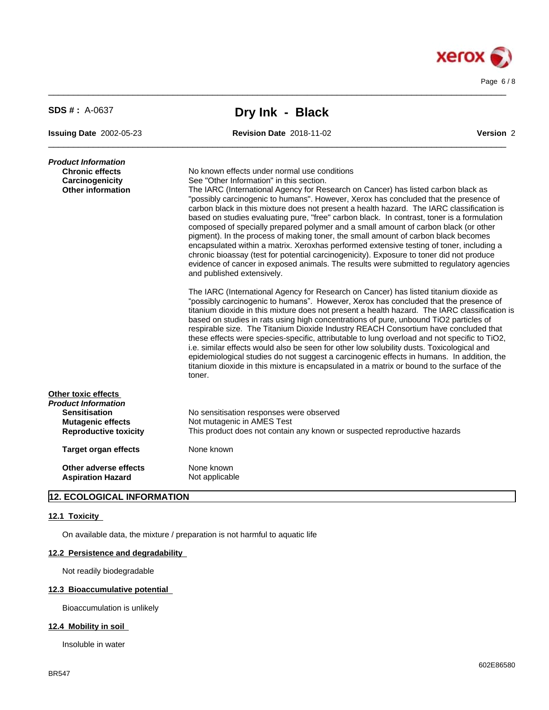

| $SDS # : A-0637$                                                                             | Dry Ink - Black                                                                                                                                                                                                                                                                                                                                                                                                                                                                                                                                                                                                                                                                                                                                                                                                                                                                                                                                                                                                                                                                                                                                                                                                                                                                                                                            |           |
|----------------------------------------------------------------------------------------------|--------------------------------------------------------------------------------------------------------------------------------------------------------------------------------------------------------------------------------------------------------------------------------------------------------------------------------------------------------------------------------------------------------------------------------------------------------------------------------------------------------------------------------------------------------------------------------------------------------------------------------------------------------------------------------------------------------------------------------------------------------------------------------------------------------------------------------------------------------------------------------------------------------------------------------------------------------------------------------------------------------------------------------------------------------------------------------------------------------------------------------------------------------------------------------------------------------------------------------------------------------------------------------------------------------------------------------------------|-----------|
| <b>Issuing Date 2002-05-23</b>                                                               | <b>Revision Date 2018-11-02</b>                                                                                                                                                                                                                                                                                                                                                                                                                                                                                                                                                                                                                                                                                                                                                                                                                                                                                                                                                                                                                                                                                                                                                                                                                                                                                                            | Version 2 |
| Product Information<br><b>Chronic effects</b><br>Carcinogenicity<br><b>Other information</b> | No known effects under normal use conditions<br>See "Other Information" in this section.<br>The IARC (International Agency for Research on Cancer) has listed carbon black as<br>"possibly carcinogenic to humans". However, Xerox has concluded that the presence of<br>carbon black in this mixture does not present a health hazard. The IARC classification is<br>based on studies evaluating pure, "free" carbon black. In contrast, toner is a formulation<br>composed of specially prepared polymer and a small amount of carbon black (or other<br>pigment). In the process of making toner, the small amount of carbon black becomes<br>encapsulated within a matrix. Xeroxhas performed extensive testing of toner, including a<br>chronic bioassay (test for potential carcinogenicity). Exposure to toner did not produce<br>evidence of cancer in exposed animals. The results were submitted to regulatory agencies<br>and published extensively.<br>The IARC (International Agency for Research on Cancer) has listed titanium dioxide as<br>"possibly carcinogenic to humans". However, Xerox has concluded that the presence of<br>titanium dioxide in this mixture does not present a health hazard. The IARC classification is<br>based on studies in rats using high concentrations of pure, unbound TiO2 particles of |           |
|                                                                                              | respirable size. The Titanium Dioxide Industry REACH Consortium have concluded that<br>these effects were species-specific, attributable to lung overload and not specific to TiO2,<br>i.e. similar effects would also be seen for other low solubility dusts. Toxicological and<br>epidemiological studies do not suggest a carcinogenic effects in humans. In addition, the<br>titanium dioxide in this mixture is encapsulated in a matrix or bound to the surface of the<br>toner.                                                                                                                                                                                                                                                                                                                                                                                                                                                                                                                                                                                                                                                                                                                                                                                                                                                     |           |
| Other toxic effects<br>Product Information                                                   |                                                                                                                                                                                                                                                                                                                                                                                                                                                                                                                                                                                                                                                                                                                                                                                                                                                                                                                                                                                                                                                                                                                                                                                                                                                                                                                                            |           |
| <b>Sensitisation</b><br><b>Mutagenic effects</b>                                             | No sensitisation responses were observed<br>Not mutagenic in AMES Test                                                                                                                                                                                                                                                                                                                                                                                                                                                                                                                                                                                                                                                                                                                                                                                                                                                                                                                                                                                                                                                                                                                                                                                                                                                                     |           |
| <b>Reproductive toxicity</b>                                                                 | This product does not contain any known or suspected reproductive hazards                                                                                                                                                                                                                                                                                                                                                                                                                                                                                                                                                                                                                                                                                                                                                                                                                                                                                                                                                                                                                                                                                                                                                                                                                                                                  |           |
| <b>Target organ effects</b>                                                                  | None known                                                                                                                                                                                                                                                                                                                                                                                                                                                                                                                                                                                                                                                                                                                                                                                                                                                                                                                                                                                                                                                                                                                                                                                                                                                                                                                                 |           |
| Other adverse effects                                                                        | None known                                                                                                                                                                                                                                                                                                                                                                                                                                                                                                                                                                                                                                                                                                                                                                                                                                                                                                                                                                                                                                                                                                                                                                                                                                                                                                                                 |           |
| <b>Aspiration Hazard</b>                                                                     | Not applicable                                                                                                                                                                                                                                                                                                                                                                                                                                                                                                                                                                                                                                                                                                                                                                                                                                                                                                                                                                                                                                                                                                                                                                                                                                                                                                                             |           |

 $\_$  ,  $\_$  ,  $\_$  ,  $\_$  ,  $\_$  ,  $\_$  ,  $\_$  ,  $\_$  ,  $\_$  ,  $\_$  ,  $\_$  ,  $\_$  ,  $\_$  ,  $\_$  ,  $\_$  ,  $\_$  ,  $\_$  ,  $\_$  ,  $\_$  ,  $\_$  ,  $\_$  ,  $\_$  ,  $\_$  ,  $\_$  ,  $\_$  ,  $\_$  ,  $\_$  ,  $\_$  ,  $\_$  ,  $\_$  ,  $\_$  ,  $\_$  ,  $\_$  ,  $\_$  ,  $\_$  ,  $\_$  ,  $\_$  ,

# **12. ECOLOGICAL INFORMATION**

### **12.1 Toxicity**

On available data, the mixture / preparation is not harmful to aquatic life

# **12.2 Persistence and degradability**

Not readily biodegradable

# **12.3 Bioaccumulative potential**

Bioaccumulation is unlikely

### **12.4 Mobility in soil**

Insoluble in water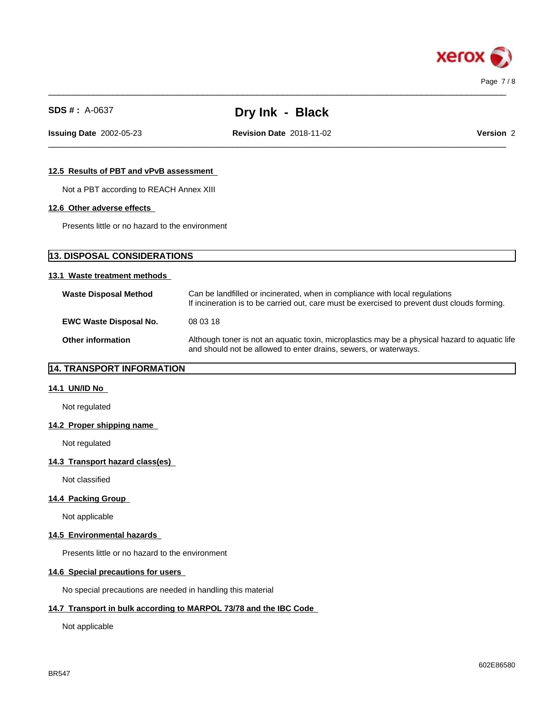

 $\_$  ,  $\_$  ,  $\_$  ,  $\_$  ,  $\_$  ,  $\_$  ,  $\_$  ,  $\_$  ,  $\_$  ,  $\_$  ,  $\_$  ,  $\_$  ,  $\_$  ,  $\_$  ,  $\_$  ,  $\_$  ,  $\_$  ,  $\_$  ,  $\_$  ,  $\_$  ,  $\_$  ,  $\_$  ,  $\_$  ,  $\_$  ,  $\_$  ,  $\_$  ,  $\_$  ,  $\_$  ,  $\_$  ,  $\_$  ,  $\_$  ,  $\_$  ,  $\_$  ,  $\_$  ,  $\_$  ,  $\_$  ,  $\_$  ,

 $\_$  ,  $\_$  ,  $\_$  ,  $\_$  ,  $\_$  ,  $\_$  ,  $\_$  ,  $\_$  ,  $\_$  ,  $\_$  ,  $\_$  ,  $\_$  ,  $\_$  ,  $\_$  ,  $\_$  ,  $\_$  ,  $\_$  ,  $\_$  ,  $\_$  ,  $\_$  ,  $\_$  ,  $\_$  ,  $\_$  ,  $\_$  ,  $\_$  ,  $\_$  ,  $\_$  ,  $\_$  ,  $\_$  ,  $\_$  ,  $\_$  ,  $\_$  ,  $\_$  ,  $\_$  ,  $\_$  ,  $\_$  ,  $\_$  , **Issuing Date** 2002-05-23 **Revision Date** 2018-11-02 **Version** 2

### **12.5 Results of PBT and vPvB assessment**

Not a PBT according to REACH Annex XIII

#### **12.6 Other adverse effects**

Presents little or no hazard to the environment

# **13. DISPOSAL CONSIDERATIONS**

### **13.1 Waste treatment methods**

| <b>Waste Disposal Method</b>  | Can be landfilled or incinerated, when in compliance with local regulations<br>If incineration is to be carried out, care must be exercised to prevent dust clouds forming. |
|-------------------------------|-----------------------------------------------------------------------------------------------------------------------------------------------------------------------------|
| <b>EWC Waste Disposal No.</b> | 08 03 18                                                                                                                                                                    |
| <b>Other information</b>      | Although toner is not an aquatic toxin, microplastics may be a physical hazard to aquatic life<br>and should not be allowed to enter drains, sewers, or waterways.          |

# **14. TRANSPORT INFORMATION**

#### **14.1 UN/ID No**

Not regulated

#### **14.2 Proper shipping name**

Not regulated

#### **14.3 Transport hazard class(es)**

Not classified

#### **14.4 Packing Group**

Not applicable

#### **14.5 Environmental hazards**

Presents little or no hazard to the environment

## **14.6 Special precautions for users**

No special precautions are needed in handling this material

#### **14.7 Transport in bulk according to MARPOL 73/78 and the IBC Code**

Not applicable